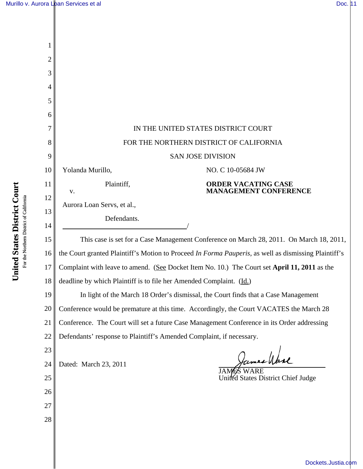| 2        |                                                                                                      |  |  |
|----------|------------------------------------------------------------------------------------------------------|--|--|
| 3        |                                                                                                      |  |  |
| 4        |                                                                                                      |  |  |
| 5        |                                                                                                      |  |  |
| 6        |                                                                                                      |  |  |
| 7        | IN THE UNITED STATES DISTRICT COURT                                                                  |  |  |
| 8        | FOR THE NORTHERN DISTRICT OF CALIFORNIA                                                              |  |  |
| 9        | <b>SAN JOSE DIVISION</b>                                                                             |  |  |
| 10       | Yolanda Murillo,<br>NO. C 10-05684 JW                                                                |  |  |
| 11       | Plaintiff,<br><b>ORDER VACATING CASE</b><br><b>MANAGEMENT CONFERENCE</b><br>V.                       |  |  |
| 12       | Aurora Loan Servs, et al.,                                                                           |  |  |
| 13       | Defendants.                                                                                          |  |  |
| 14<br>15 | This case is set for a Case Management Conference on March 28, 2011. On March 18, 2011,              |  |  |
| 16       | the Court granted Plaintiff's Motion to Proceed In Forma Pauperis, as well as dismissing Plaintiff's |  |  |
| 17       | Complaint with leave to amend. (See Docket Item No. 10.) The Court set April 11, 2011 as the         |  |  |
| 18       | deadline by which Plaintiff is to file her Amended Complaint. (Id.)                                  |  |  |
| 19       | In light of the March 18 Order's dismissal, the Court finds that a Case Management                   |  |  |
| 20       | Conference would be premature at this time. Accordingly, the Court VACATES the March 28              |  |  |
| 21       | Conference. The Court will set a future Case Management Conference in its Order addressing           |  |  |
| 22       | Defendants' response to Plaintiff's Amended Complaint, if necessary.                                 |  |  |
| 23       |                                                                                                      |  |  |
| 24       | James Ware<br>Dated: March 23, 2011<br>JAM                                                           |  |  |
| 25       | United States District Chief Judge                                                                   |  |  |
| 26       |                                                                                                      |  |  |
| 27       |                                                                                                      |  |  |
| 28       |                                                                                                      |  |  |
|          |                                                                                                      |  |  |